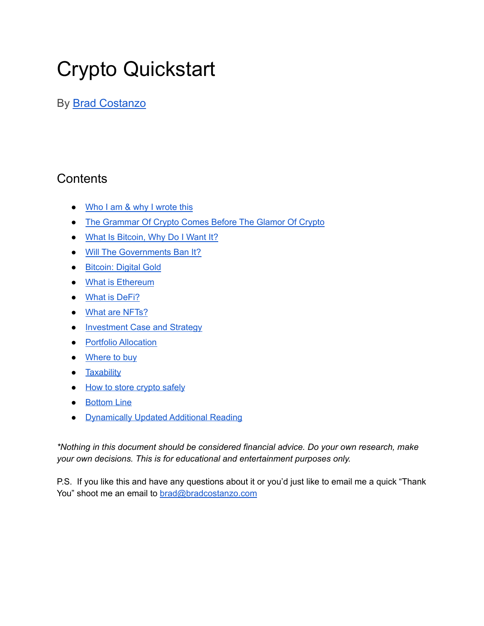# Crypto Quickstart

By Brad [Costanzo](https://visitbrad.com)

# **Contents**

- Who I am & why I [wrote](#page-1-0) this
- The [Grammar](#page-3-0) Of Crypto Comes Before The Glamor Of Crypto
- What Is [Bitcoin,](#page-4-0) Why Do I Want It?
- Will The [Governments](#page-5-0) Ban It?
- [Bitcoin:](#page-6-0) Digital Gold
- What is [Ethereum](#page-8-0)
- What is [DeFi?](#page-9-0)
- What are [NFTs?](#page-10-0)
- [Investment](#page-11-0) Case and Strategy
- Portfolio [Allocation](#page-13-0)
- **[Where](#page-13-1) to buy**
- [Taxability](#page-13-2)
- How to store [crypto](#page-14-0) safely
- [Bottom](#page-18-0) Line
- [Dynamically](#page-20-0) Updated Additional Reading

*\*Nothing in this document should be considered financial advice. Do your own research, make your own decisions. This is for educational and entertainment purposes only.*

P.S. If you like this and have any questions about it or you'd just like to email me a quick "Thank You" shoot me an email to [brad@bradcostanzo.com](mailto:brad@bradcostanzo.com)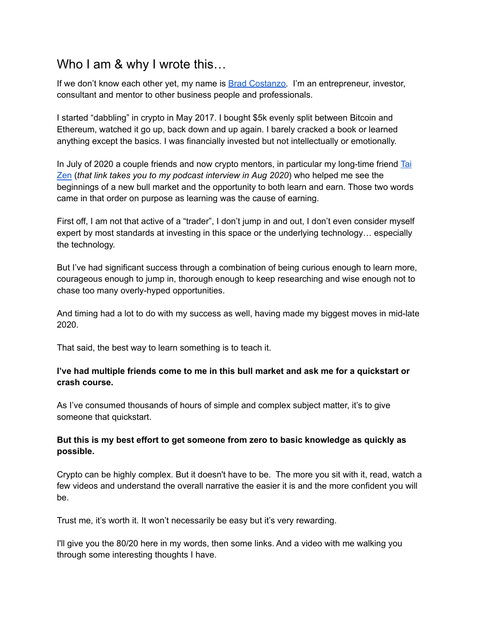### <span id="page-1-0"></span>Who I am & why I wrote this...

If we don't know each other yet, my name is Brad [Costanzo.](https://visitbrad.com) I'm an entrepreneur, investor, consultant and mentor to other business people and professionals.

I started "dabbling" in crypto in May 2017. I bought \$5k evenly split between Bitcoin and Ethereum, watched it go up, back down and up again. I barely cracked a book or learned anything except the basics. I was financially invested but not intellectually or emotionally.

In July of 2020 a couple friends and now crypto mentors, in particular my long-time friend [Tai](https://baconwrappedbusiness.com/taizencrypto/) [Zen](https://baconwrappedbusiness.com/taizencrypto/) (*that link takes you to my podcast interview in Aug 2020*) who helped me see the beginnings of a new bull market and the opportunity to both learn and earn. Those two words came in that order on purpose as learning was the cause of earning.

First off, I am not that active of a "trader", I don't jump in and out, I don't even consider myself expert by most standards at investing in this space or the underlying technology… especially the technology.

But I've had significant success through a combination of being curious enough to learn more, courageous enough to jump in, thorough enough to keep researching and wise enough not to chase too many overly-hyped opportunities.

And timing had a lot to do with my success as well, having made my biggest moves in mid-late 2020.

That said, the best way to learn something is to teach it.

#### **I've had multiple friends come to me in this bull market and ask me for a quickstart or crash course.**

As I've consumed thousands of hours of simple and complex subject matter, it's to give someone that quickstart.

### **But this is my best effort to get someone from zero to basic knowledge as quickly as possible.**

Crypto can be highly complex. But it doesn't have to be. The more you sit with it, read, watch a few videos and understand the overall narrative the easier it is and the more confident you will be.

Trust me, it's worth it. It won't necessarily be easy but it's very rewarding.

I'll give you the 80/20 here in my words, then some links. And a video with me walking you through some interesting thoughts I have.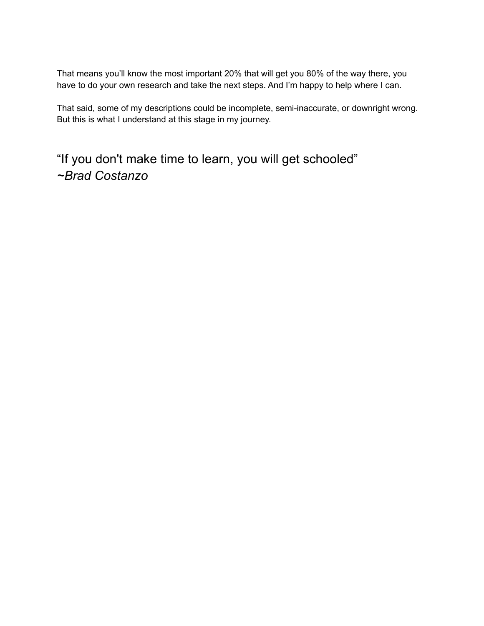That means you'll know the most important 20% that will get you 80% of the way there, you have to do your own research and take the next steps. And I'm happy to help where I can.

That said, some of my descriptions could be incomplete, semi-inaccurate, or downright wrong. But this is what I understand at this stage in my journey.

"If you don't make time to learn, you will get schooled" *~Brad Costanzo*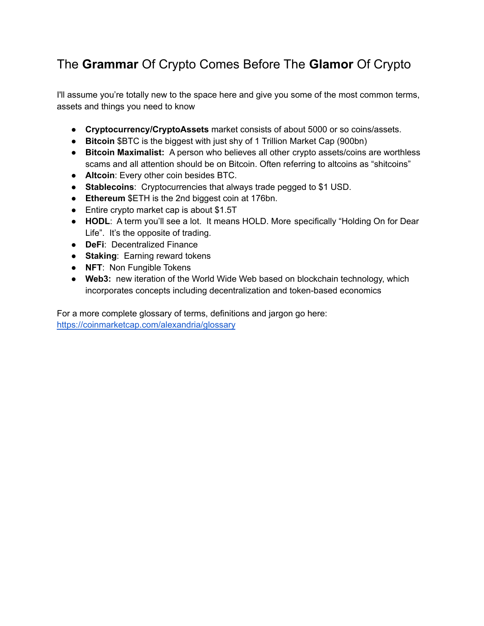# <span id="page-3-0"></span>The **Grammar** Of Crypto Comes Before The **Glamor** Of Crypto

I'll assume you're totally new to the space here and give you some of the most common terms, assets and things you need to know

- **Cryptocurrency/CryptoAssets** market consists of about 5000 or so coins/assets.
- **Bitcoin** \$BTC is the biggest with just shy of 1 Trillion Market Cap (900bn)
- **● Bitcoin Maximalist:** A person who believes all other crypto assets/coins are worthless scams and all attention should be on Bitcoin. Often referring to altcoins as "shitcoins"
- **Altcoin**: Every other coin besides BTC.
- **Stablecoins**: Cryptocurrencies that always trade pegged to \$1 USD.
- **Ethereum** \$ETH is the 2nd biggest coin at 176bn.
- Entire crypto market cap is about \$1.5T
- **HODL**: A term you'll see a lot. It means HOLD. More specifically "Holding On for Dear Life". It's the opposite of trading.
- **DeFi**: Decentralized Finance
- **Staking**: Earning reward tokens
- **NFT**: Non Fungible Tokens
- **● Web3:** new iteration of the World Wide Web based on blockchain technology, which incorporates concepts including decentralization and token-based economics

For a more complete glossary of terms, definitions and jargon go here: <https://coinmarketcap.com/alexandria/glossary>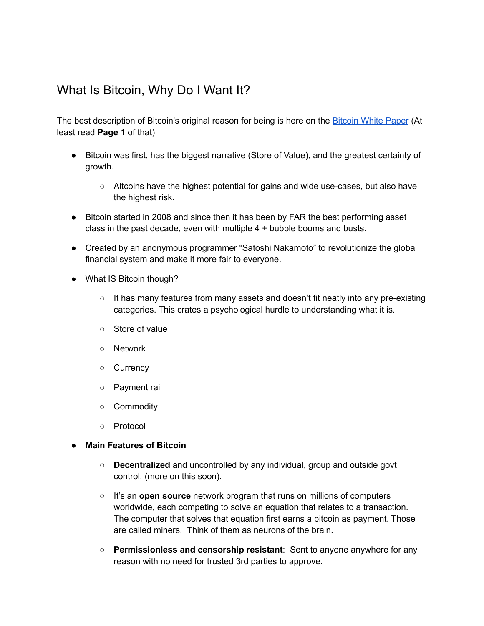## <span id="page-4-0"></span>What Is Bitcoin, Why Do I Want It?

The best description of [Bitcoin](https://bitcoin.org/bitcoin.pdf)'s original reason for being is here on the Bitcoin White Paper (At least read **Page 1** of that)

- Bitcoin was first, has the biggest narrative (Store of Value), and the greatest certainty of growth.
	- Altcoins have the highest potential for gains and wide use-cases, but also have the highest risk.
- Bitcoin started in 2008 and since then it has been by FAR the best performing asset class in the past decade, even with multiple 4 + bubble booms and busts.
- Created by an anonymous programmer "Satoshi Nakamoto" to revolutionize the global financial system and make it more fair to everyone.
- What IS Bitcoin though?
	- $\circ$  It has many features from many assets and doesn't fit neatly into any pre-existing categories. This crates a psychological hurdle to understanding what it is.
	- Store of value
	- Network
	- Currency
	- Payment rail
	- Commodity
	- Protocol

#### **● Main Features of Bitcoin**

- **Decentralized** and uncontrolled by any individual, group and outside govt control. (more on this soon).
- It's an **open source** network program that runs on millions of computers worldwide, each competing to solve an equation that relates to a transaction. The computer that solves that equation first earns a bitcoin as payment. Those are called miners. Think of them as neurons of the brain.
- **Permissionless and censorship resistant**: Sent to anyone anywhere for any reason with no need for trusted 3rd parties to approve.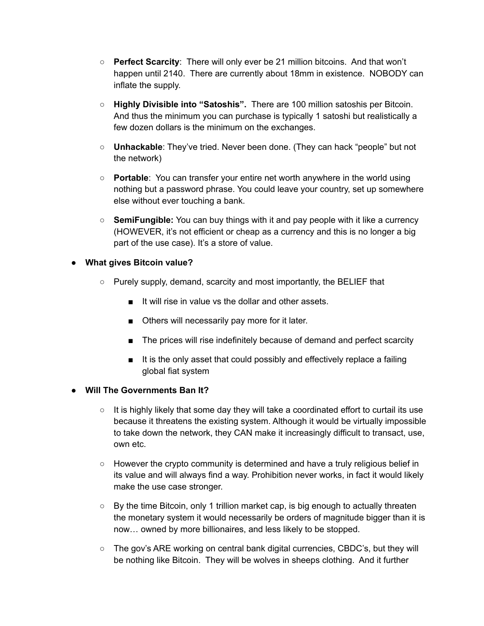- **Perfect Scarcity**: There will only ever be 21 million bitcoins. And that won't happen until 2140. There are currently about 18mm in existence. NOBODY can inflate the supply.
- **Highly Divisible into "Satoshis".** There are 100 million satoshis per Bitcoin. And thus the minimum you can purchase is typically 1 satoshi but realistically a few dozen dollars is the minimum on the exchanges.
- **Unhackable**: They've tried. Never been done. (They can hack "people" but not the network)
- **Portable**: You can transfer your entire net worth anywhere in the world using nothing but a password phrase. You could leave your country, set up somewhere else without ever touching a bank.
- **SemiFungible:** You can buy things with it and pay people with it like a currency (HOWEVER, it's not efficient or cheap as a currency and this is no longer a big part of the use case). It's a store of value.

### **● What gives Bitcoin value?**

- Purely supply, demand, scarcity and most importantly, the BELIEF that
	- It will rise in value vs the dollar and other assets.
	- Others will necessarily pay more for it later.
	- The prices will rise indefinitely because of demand and perfect scarcity
	- It is the only asset that could possibly and effectively replace a failing global fiat system

### <span id="page-5-0"></span>**● Will The Governments Ban It?**

- $\circ$  It is highly likely that some day they will take a coordinated effort to curtail its use because it threatens the existing system. Although it would be virtually impossible to take down the network, they CAN make it increasingly difficult to transact, use, own etc.
- $\circ$  However the crypto community is determined and have a truly religious belief in its value and will always find a way. Prohibition never works, in fact it would likely make the use case stronger.
- $\circ$  By the time Bitcoin, only 1 trillion market cap, is big enough to actually threaten the monetary system it would necessarily be orders of magnitude bigger than it is now… owned by more billionaires, and less likely to be stopped.
- $\circ$  The gov's ARE working on central bank digital currencies, CBDC's, but they will be nothing like Bitcoin. They will be wolves in sheeps clothing. And it further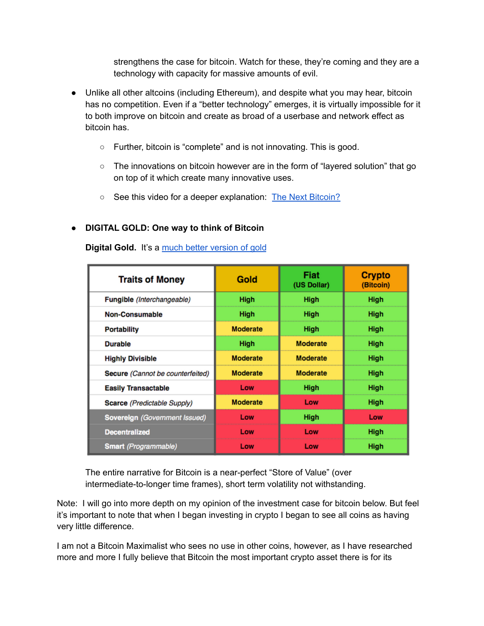strengthens the case for bitcoin. Watch for these, they're coming and they are a technology with capacity for massive amounts of evil.

- Unlike all other altcoins (including Ethereum), and despite what you may hear, bitcoin has no competition. Even if a "better technology" emerges, it is virtually impossible for it to both improve on bitcoin and create as broad of a userbase and network effect as bitcoin has.
	- Further, bitcoin is "complete" and is not innovating. This is good.
	- The innovations on bitcoin however are in the form of "layered solution" that go on top of it which create many innovative uses.
	- See this video for a deeper explanation: The Next [Bitcoin?](https://www.youtube.com/watch?v=oc7bNAMitjg)

#### <span id="page-6-0"></span>**● DIGITAL GOLD: One way to think of Bitcoin**

**Digital Gold.** It's a much better [version](https://danheld.substack.com/p/bitcoin-vs-gold) of gold

| <b>Traits of Money</b>               | Gold            | Fiat<br>(US Dollar) | <b>Crypto</b><br>(Bitcoin) |
|--------------------------------------|-----------------|---------------------|----------------------------|
| Fungible (Interchangeable)           | High            | High                | High                       |
| Non-Consumable                       | High            | High                | High                       |
| <b>Portability</b>                   | <b>Moderate</b> | High                | High                       |
| <b>Durable</b>                       | High            | <b>Moderate</b>     | High                       |
| <b>Highly Divisible</b>              | <b>Moderate</b> | <b>Moderate</b>     | High                       |
| Secure (Cannot be counterfeited)     | <b>Moderate</b> | <b>Moderate</b>     | High                       |
| <b>Easily Transactable</b>           | Low             | High                | High                       |
| Scarce (Predictable Supply)          | <b>Moderate</b> | Low                 | High                       |
| <b>Sovereign (Government Issued)</b> | Low             | High                | Low                        |
| <b>Decentralized</b>                 | Low             | Low                 | High                       |
| <b>Smart</b> (Programmable)          | Low             | Low                 | <b>High</b>                |

The entire narrative for Bitcoin is a near-perfect "Store of Value" (over intermediate-to-longer time frames), short term volatility not withstanding.

Note: I will go into more depth on my opinion of the investment case for bitcoin below. But feel it's important to note that when I began investing in crypto I began to see all coins as having very little difference.

I am not a Bitcoin Maximalist who sees no use in other coins, however, as I have researched more and more I fully believe that Bitcoin the most important crypto asset there is for its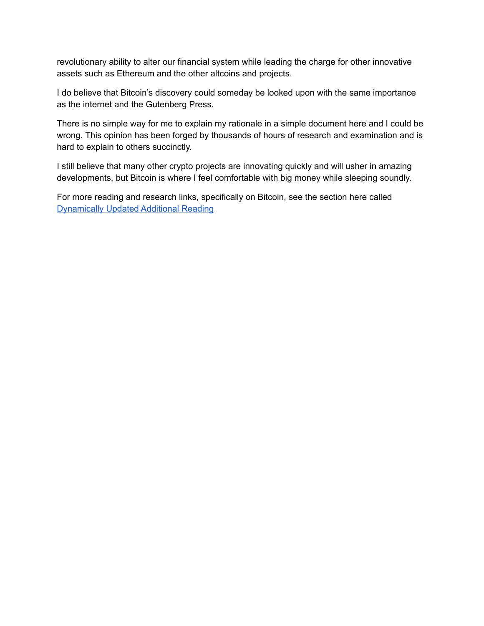revolutionary ability to alter our financial system while leading the charge for other innovative assets such as Ethereum and the other altcoins and projects.

I do believe that Bitcoin's discovery could someday be looked upon with the same importance as the internet and the Gutenberg Press.

There is no simple way for me to explain my rationale in a simple document here and I could be wrong. This opinion has been forged by thousands of hours of research and examination and is hard to explain to others succinctly.

I still believe that many other crypto projects are innovating quickly and will usher in amazing developments, but Bitcoin is where I feel comfortable with big money while sleeping soundly.

For more reading and research links, specifically on Bitcoin, see the section here called [Dynamically](#page-20-0) Updated Additional Reading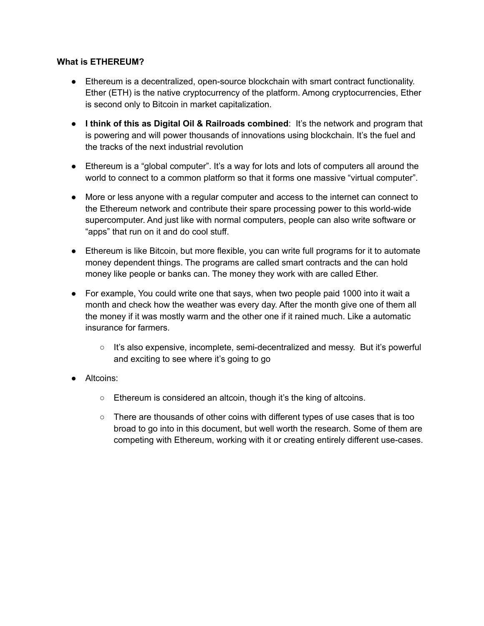#### <span id="page-8-0"></span>**What is ETHEREUM?**

- Ethereum is a decentralized, open-source blockchain with smart contract functionality. Ether (ETH) is the native cryptocurrency of the platform. Among cryptocurrencies, Ether is second only to Bitcoin in market capitalization.
- **I think of this as Digital Oil & Railroads combined**: It's the network and program that is powering and will power thousands of innovations using blockchain. It's the fuel and the tracks of the next industrial revolution
- Ethereum is a "global computer". It's a way for lots and lots of computers all around the world to connect to a common platform so that it forms one massive "virtual computer".
- More or less anyone with a regular computer and access to the internet can connect to the Ethereum network and contribute their spare processing power to this world-wide supercomputer. And just like with normal computers, people can also write software or "apps" that run on it and do cool stuff.
- Ethereum is like Bitcoin, but more flexible, you can write full programs for it to automate money dependent things. The programs are called smart contracts and the can hold money like people or banks can. The money they work with are called Ether.
- For example, You could write one that says, when two people paid 1000 into it wait a month and check how the weather was every day. After the month give one of them all the money if it was mostly warm and the other one if it rained much. Like a automatic insurance for farmers.
	- It's also expensive, incomplete, semi-decentralized and messy. But it's powerful and exciting to see where it's going to go
- Altcoins:
	- Ethereum is considered an altcoin, though it's the king of altcoins.
	- There are thousands of other coins with different types of use cases that is too broad to go into in this document, but well worth the research. Some of them are competing with Ethereum, working with it or creating entirely different use-cases.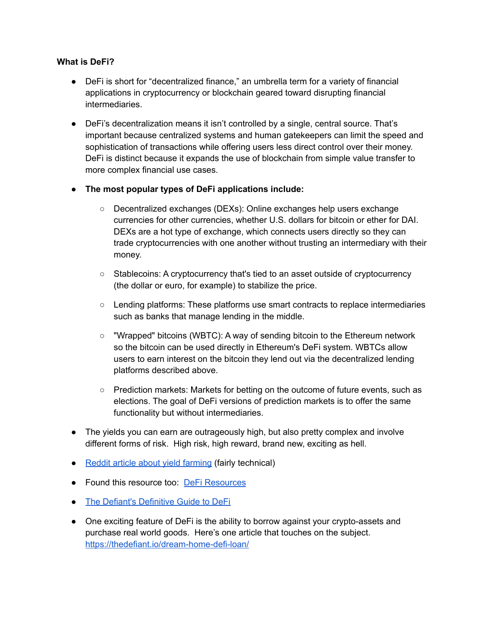#### <span id="page-9-0"></span>**What is DeFi?**

- DeFi is short for "decentralized finance," an umbrella term for a variety of financial applications in cryptocurrency or blockchain geared toward disrupting financial intermediaries.
- DeFi's decentralization means it isn't controlled by a single, central source. That's important because centralized systems and human gatekeepers can limit the speed and sophistication of transactions while offering users less direct control over their money. DeFi is distinct because it expands the use of blockchain from simple value transfer to more complex financial use cases.
- **● The most popular types of DeFi applications include:**
	- Decentralized exchanges (DEXs): Online exchanges help users exchange currencies for other currencies, whether U.S. dollars for bitcoin or ether for DAI. DEXs are a hot type of exchange, which connects users directly so they can trade cryptocurrencies with one another without trusting an intermediary with their money.
	- Stablecoins: A cryptocurrency that's tied to an asset outside of cryptocurrency (the dollar or euro, for example) to stabilize the price.
	- $\circ$  Lending platforms: These platforms use smart contracts to replace intermediaries such as banks that manage lending in the middle.
	- "Wrapped" bitcoins (WBTC): A way of sending bitcoin to the Ethereum network so the bitcoin can be used directly in Ethereum's DeFi system. WBTCs allow users to earn interest on the bitcoin they lend out via the decentralized lending platforms described above.
	- Prediction markets: Markets for betting on the outcome of future events, such as elections. The goal of DeFi versions of prediction markets is to offer the same functionality but without intermediaries.
- The yields you can earn are outrageously high, but also pretty complex and involve different forms of risk. High risk, high reward, brand new, exciting as hell.
- Reddit article about yield [farming](https://www.reddit.com/r/Yield_Farming/comments/imvau7/all_you_need_to_know_about_yield_farming_the/) (fairly technical)
- Found this resource too: DeFi [Resources](https://docs.google.com/document/d/1IItF-7NOYBaBIApDHoI6_i3YKU3rtw4ohZn5zyaNPIM/edit?usp=sharing)
- The Defiant's [Definitive](https://newsletter.thedefiant.io/p/the-defiants-definitive-guide-to) Guide to DeFi
- One exciting feature of DeFi is the ability to borrow against your crypto-assets and purchase real world goods. Here's one article that touches on the subject. <https://thedefiant.io/dream-home-defi-loan/>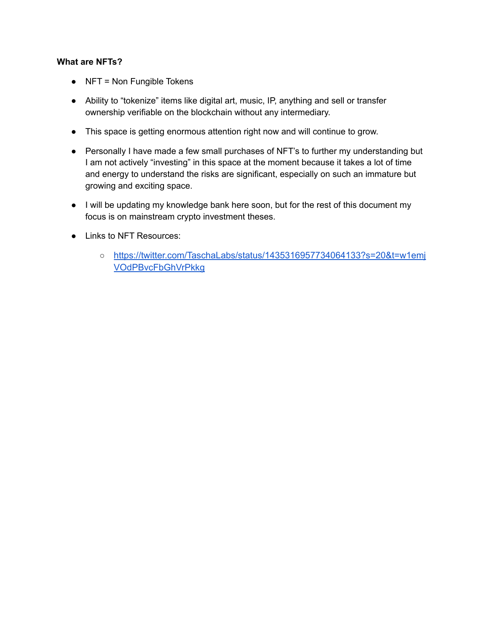#### <span id="page-10-0"></span>**What are NFTs?**

- NFT = Non Fungible Tokens
- Ability to "tokenize" items like digital art, music, IP, anything and sell or transfer ownership verifiable on the blockchain without any intermediary.
- This space is getting enormous attention right now and will continue to grow.
- Personally I have made a few small purchases of NFT's to further my understanding but I am not actively "investing" in this space at the moment because it takes a lot of time and energy to understand the risks are significant, especially on such an immature but growing and exciting space.
- I will be updating my knowledge bank here soon, but for the rest of this document my focus is on mainstream crypto investment theses.
- Links to NFT Resources:
	- [https://twitter.com/TaschaLabs/status/1435316957734064133?s=20&t=w1emj](https://twitter.com/TaschaLabs/status/1435316957734064133?s=20&t=w1emjVOdPBvcFbGhVrPkkg) [VOdPBvcFbGhVrPkkg](https://twitter.com/TaschaLabs/status/1435316957734064133?s=20&t=w1emjVOdPBvcFbGhVrPkkg)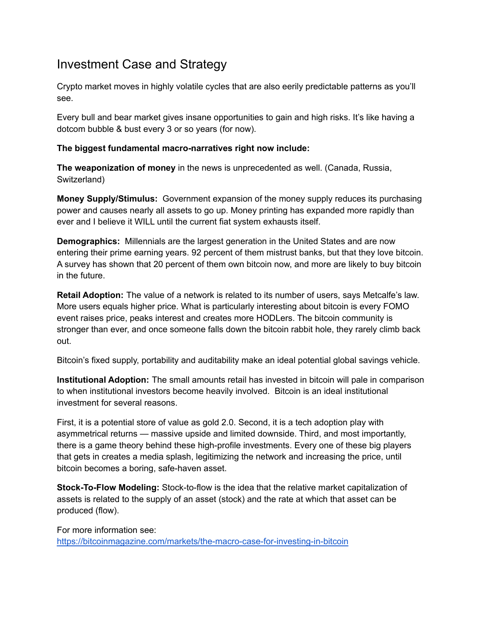## <span id="page-11-0"></span>Investment Case and Strategy

Crypto market moves in highly volatile cycles that are also eerily predictable patterns as you'll see.

Every bull and bear market gives insane opportunities to gain and high risks. It's like having a dotcom bubble & bust every 3 or so years (for now).

### **The biggest fundamental macro-narratives right now include:**

**The weaponization of money** in the news is unprecedented as well. (Canada, Russia, Switzerland)

**Money Supply/Stimulus:** Government expansion of the money supply reduces its purchasing power and causes nearly all assets to go up. Money printing has expanded more rapidly than ever and I believe it WILL until the current fiat system exhausts itself.

**Demographics:** Millennials are the largest generation in the United States and are now entering their prime earning years. 92 percent of them mistrust banks, but that they love bitcoin. A survey has shown that 20 percent of them own bitcoin now, and more are likely to buy bitcoin in the future.

**Retail Adoption:** The value of a network is related to its number of users, says Metcalfe's law. More users equals higher price. What is particularly interesting about bitcoin is every FOMO event raises price, peaks interest and creates more HODLers. The bitcoin community is stronger than ever, and once someone falls down the bitcoin rabbit hole, they rarely climb back out.

Bitcoin's fixed supply, portability and auditability make an ideal potential global savings vehicle.

**Institutional Adoption:** The small amounts retail has invested in bitcoin will pale in comparison to when institutional investors become heavily involved. Bitcoin is an ideal institutional investment for several reasons.

First, it is a potential store of value as gold 2.0. Second, it is a tech adoption play with asymmetrical returns — massive upside and limited downside. Third, and most importantly, there is a game theory behind these high-profile investments. Every one of these big players that gets in creates a media splash, legitimizing the network and increasing the price, until bitcoin becomes a boring, safe-haven asset.

**Stock-To-Flow Modeling:** Stock-to-flow is the idea that the relative market capitalization of assets is related to the supply of an asset (stock) and the rate at which that asset can be produced (flow).

For more information see:

<https://bitcoinmagazine.com/markets/the-macro-case-for-investing-in-bitcoin>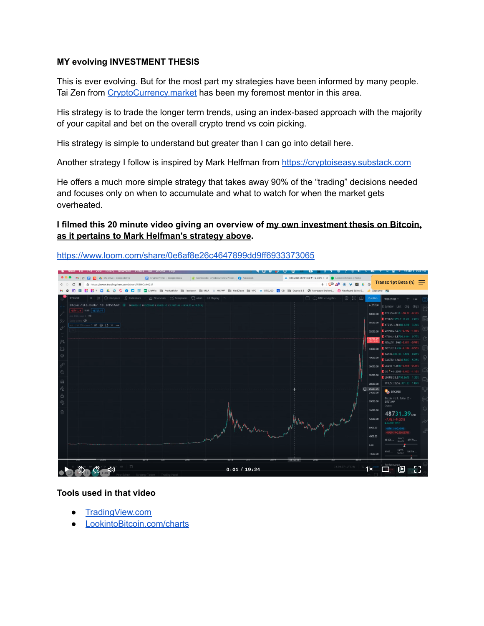#### **MY evolving INVESTMENT THESIS**

This is ever evolving. But for the most part my strategies have been informed by many people. Tai Zen from CryptoCurrency market has been my foremost mentor in this area.

His strategy is to trade the longer term trends, using an index-based approach with the majority of your capital and bet on the overall crypto trend vs coin picking.

His strategy is simple to understand but greater than I can go into detail here.

Another strategy I follow is inspired by Mark Helfman from <https://cryptoiseasy.substack.com>

He offers a much more simple strategy that takes away 90% of the "trading" decisions needed and focuses only on when to accumulate and what to watch for when the market gets overheated.

#### **I filmed this 20 minute video giving an overview of my own investment thesis on Bitcoin, as it pertains to Mark Helfman's strategy above.**

<https://www.loom.com/share/0e6af8e26c4647899dd9ff6933373065>



#### **Tools used in that video**

- [TradingView.com](https://tradingview.com)
- [LookintoBitcoin.com/charts](https://lookintobitcoin.com/charts)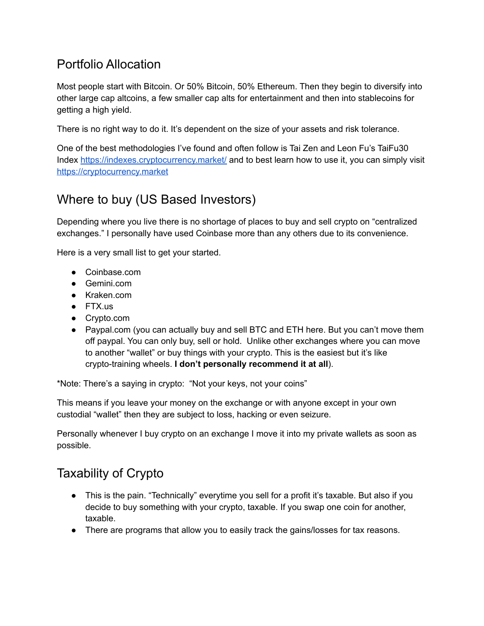# <span id="page-13-0"></span>Portfolio Allocation

Most people start with Bitcoin. Or 50% Bitcoin, 50% Ethereum. Then they begin to diversify into other large cap altcoins, a few smaller cap alts for entertainment and then into stablecoins for getting a high yield.

There is no right way to do it. It's dependent on the size of your assets and risk tolerance.

One of the best methodologies I've found and often follow is Tai Zen and Leon Fu's TaiFu30 Index <https://indexes.cryptocurrency.market/> and to best learn how to use it, you can simply visit <https://cryptocurrency.market>

# <span id="page-13-1"></span>Where to buy (US Based Investors)

Depending where you live there is no shortage of places to buy and sell crypto on "centralized exchanges." I personally have used Coinbase more than any others due to its convenience.

Here is a very small list to get your started.

- Coinbase.com
- Gemini.com
- Kraken.com
- FTX.us
- Crypto.com
- Paypal.com (you can actually buy and sell BTC and ETH here. But you can't move them off paypal. You can only buy, sell or hold. Unlike other exchanges where you can move to another "wallet" or buy things with your crypto. This is the easiest but it's like crypto-training wheels. **I don't personally recommend it at all**).

\*Note: There's a saying in crypto: "Not your keys, not your coins"

This means if you leave your money on the exchange or with anyone except in your own custodial "wallet" then they are subject to loss, hacking or even seizure.

Personally whenever I buy crypto on an exchange I move it into my private wallets as soon as possible.

# <span id="page-13-2"></span>Taxability of Crypto

- This is the pain. "Technically" everytime you sell for a profit it's taxable. But also if you decide to buy something with your crypto, taxable. If you swap one coin for another, taxable.
- There are programs that allow you to easily track the gains/losses for tax reasons.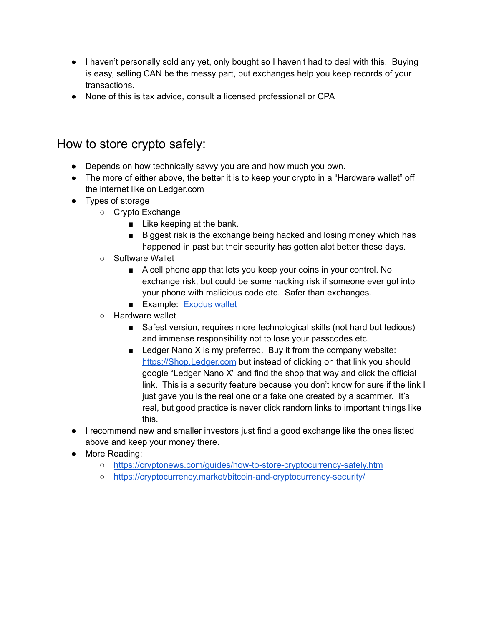- I haven't personally sold any yet, only bought so I haven't had to deal with this. Buying is easy, selling CAN be the messy part, but exchanges help you keep records of your transactions.
- None of this is tax advice, consult a licensed professional or CPA

### <span id="page-14-0"></span>How to store crypto safely:

- Depends on how technically savvy you are and how much you own.
- The more of either above, the better it is to keep your crypto in a "Hardware wallet" off the internet like on Ledger.com
- Types of storage
	- Crypto Exchange
		- Like keeping at the bank.
		- Biggest risk is the exchange being hacked and losing money which has happened in past but their security has gotten alot better these days.
	- Software Wallet
		- A cell phone app that lets you keep your coins in your control. No exchange risk, but could be some hacking risk if someone ever got into your phone with malicious code etc. Safer than exchanges.
		- Example: [Exodus](https://exodus.com) wallet
	- Hardware wallet
		- Safest version, requires more technological skills (not hard but tedious) and immense responsibility not to lose your passcodes etc.
		- $\blacksquare$  Ledger Nano X is my preferred. Buy it from the company website: [https://Shop.Ledger.com](https://shop.ledger.com) but instead of clicking on that link you should google "Ledger Nano X" and find the shop that way and click the official link. This is a security feature because you don't know for sure if the link I just gave you is the real one or a fake one created by a scammer. It's real, but good practice is never click random links to important things like this.
- I recommend new and smaller investors just find a good exchange like the ones listed above and keep your money there.
- More Reading:
	- <https://cryptonews.com/guides/how-to-store-cryptocurrency-safely.htm>
	- <https://cryptocurrency.market/bitcoin-and-cryptocurrency-security/>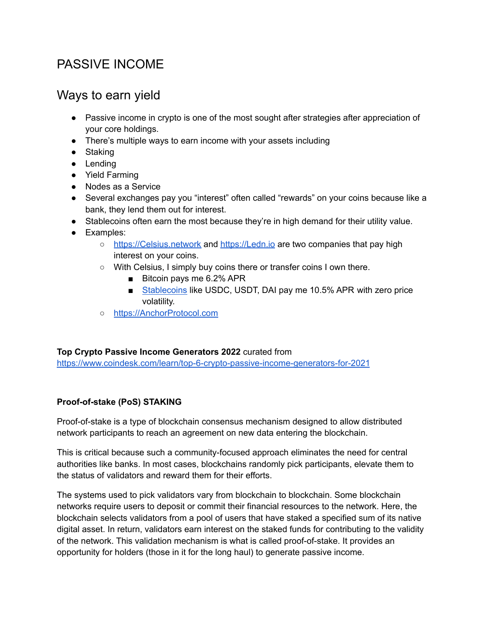# PASSIVE INCOME

### Ways to earn yield

- Passive income in crypto is one of the most sought after strategies after appreciation of your core holdings.
- There's multiple ways to earn income with your assets including
- Staking
- Lending
- Yield Farming
- Nodes as a Service
- Several exchanges pay you "interest" often called "rewards" on your coins because like a bank, they lend them out for interest.
- Stablecoins often earn the most because they're in high demand for their utility value.
- Examples:
	- [https://Celsius.network](https://celsius.network) and [https://Ledn.io](https://ledn.io) are two companies that pay high interest on your coins.
	- With Celsius, I simply buy coins there or transfer coins I own there.
		- Bitcoin pays me 6.2% APR
		- Stablecoins like USDC, USDT, DAI pay me 10.5% APR with zero price volatility.
	- [https://AnchorProtocol.com](https://anchorprotocol.com)

### **Top Crypto Passive Income Generators 2022** curated from

<https://www.coindesk.com/learn/top-6-crypto-passive-income-generators-for-2021>

### **Proof-of-stake (PoS) STAKING**

Proof-of-stake is a type of blockchain consensus mechanism designed to allow distributed network participants to reach an agreement on new data entering the blockchain.

This is critical because such a community-focused approach eliminates the need for central authorities like banks. In most cases, blockchains randomly pick participants, elevate them to the status of validators and reward them for their efforts.

The systems used to pick validators vary from blockchain to blockchain. Some blockchain networks require users to deposit or commit their financial resources to the network. Here, the blockchain selects validators from a pool of users that have staked a specified sum of its native digital asset. In return, validators earn interest on the staked funds for contributing to the validity of the network. This validation mechanism is what is called proof-of-stake. It provides an opportunity for holders (those in it for the long haul) to generate passive income.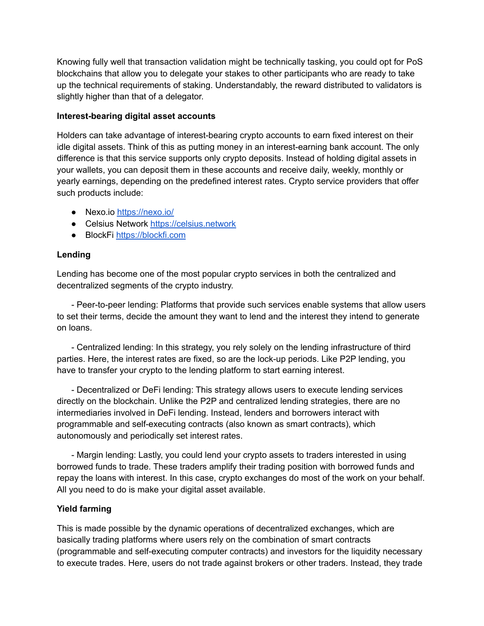Knowing fully well that transaction validation might be technically tasking, you could opt for PoS blockchains that allow you to delegate your stakes to other participants who are ready to take up the technical requirements of staking. Understandably, the reward distributed to validators is slightly higher than that of a delegator.

#### **Interest-bearing digital asset accounts**

Holders can take advantage of interest-bearing crypto accounts to earn fixed interest on their idle digital assets. Think of this as putting money in an interest-earning bank account. The only difference is that this service supports only crypto deposits. Instead of holding digital assets in your wallets, you can deposit them in these accounts and receive daily, weekly, monthly or yearly earnings, depending on the predefined interest rates. Crypto service providers that offer such products include:

- Nexo.io <https://nexo.io/>
- Celsius Network <https://celsius.network>
- BlockFi <https://blockfi.com>

### **Lending**

Lending has become one of the most popular crypto services in both the centralized and decentralized segments of the crypto industry.

- Peer-to-peer lending: Platforms that provide such services enable systems that allow users to set their terms, decide the amount they want to lend and the interest they intend to generate on loans.

- Centralized lending: In this strategy, you rely solely on the lending infrastructure of third parties. Here, the interest rates are fixed, so are the lock-up periods. Like P2P lending, you have to transfer your crypto to the lending platform to start earning interest.

- Decentralized or DeFi lending: This strategy allows users to execute lending services directly on the blockchain. Unlike the P2P and centralized lending strategies, there are no intermediaries involved in DeFi lending. Instead, lenders and borrowers interact with programmable and self-executing contracts (also known as smart contracts), which autonomously and periodically set interest rates.

- Margin lending: Lastly, you could lend your crypto assets to traders interested in using borrowed funds to trade. These traders amplify their trading position with borrowed funds and repay the loans with interest. In this case, crypto exchanges do most of the work on your behalf. All you need to do is make your digital asset available.

### **Yield farming**

This is made possible by the dynamic operations of decentralized exchanges, which are basically trading platforms where users rely on the combination of smart contracts (programmable and self-executing computer contracts) and investors for the liquidity necessary to execute trades. Here, users do not trade against brokers or other traders. Instead, they trade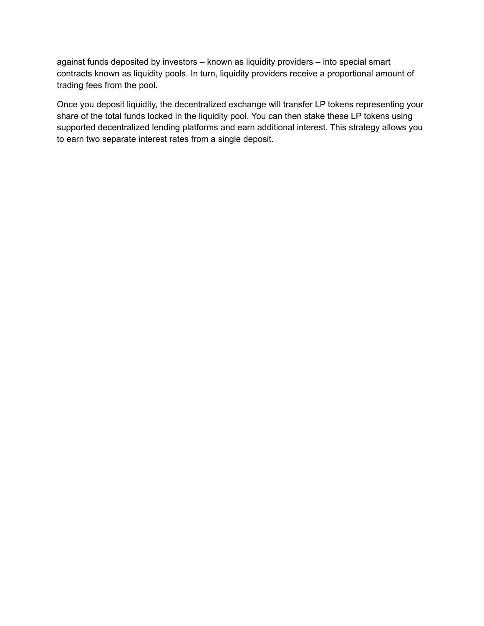against funds deposited by investors – known as liquidity providers – into special smart contracts known as liquidity pools. In turn, liquidity providers receive a proportional amount of trading fees from the pool.

Once you deposit liquidity, the decentralized exchange will transfer LP tokens representing your share of the total funds locked in the liquidity pool. You can then stake these LP tokens using supported decentralized lending platforms and earn additional interest. This strategy allows you to earn two separate interest rates from a single deposit.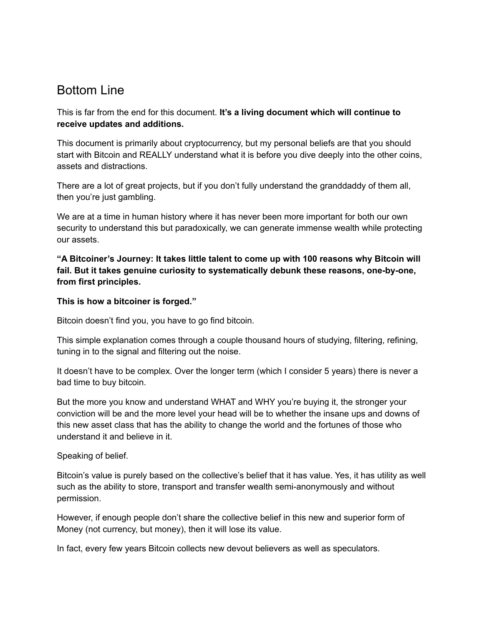### <span id="page-18-0"></span>Bottom Line

This is far from the end for this document. **It's a living document which will continue to receive updates and additions.**

This document is primarily about cryptocurrency, but my personal beliefs are that you should start with Bitcoin and REALLY understand what it is before you dive deeply into the other coins, assets and distractions.

There are a lot of great projects, but if you don't fully understand the granddaddy of them all, then you're just gambling.

We are at a time in human history where it has never been more important for both our own security to understand this but paradoxically, we can generate immense wealth while protecting our assets.

**"A Bitcoiner's Journey: It takes little talent to come up with 100 reasons why Bitcoin will fail. But it takes genuine curiosity to systematically debunk these reasons, one-by-one, from first principles.**

#### **This is how a bitcoiner is forged."**

Bitcoin doesn't find you, you have to go find bitcoin.

This simple explanation comes through a couple thousand hours of studying, filtering, refining, tuning in to the signal and filtering out the noise.

It doesn't have to be complex. Over the longer term (which I consider 5 years) there is never a bad time to buy bitcoin.

But the more you know and understand WHAT and WHY you're buying it, the stronger your conviction will be and the more level your head will be to whether the insane ups and downs of this new asset class that has the ability to change the world and the fortunes of those who understand it and believe in it.

Speaking of belief.

Bitcoin's value is purely based on the collective's belief that it has value. Yes, it has utility as well such as the ability to store, transport and transfer wealth semi-anonymously and without permission.

However, if enough people don't share the collective belief in this new and superior form of Money (not currency, but money), then it will lose its value.

In fact, every few years Bitcoin collects new devout believers as well as speculators.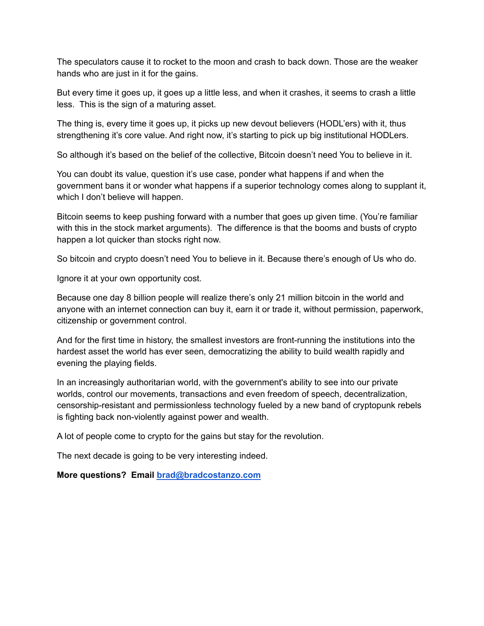The speculators cause it to rocket to the moon and crash to back down. Those are the weaker hands who are just in it for the gains.

But every time it goes up, it goes up a little less, and when it crashes, it seems to crash a little less. This is the sign of a maturing asset.

The thing is, every time it goes up, it picks up new devout believers (HODL'ers) with it, thus strengthening it's core value. And right now, it's starting to pick up big institutional HODLers.

So although it's based on the belief of the collective, Bitcoin doesn't need You to believe in it.

You can doubt its value, question it's use case, ponder what happens if and when the government bans it or wonder what happens if a superior technology comes along to supplant it, which I don't believe will happen.

Bitcoin seems to keep pushing forward with a number that goes up given time. (You're familiar with this in the stock market arguments). The difference is that the booms and busts of crypto happen a lot quicker than stocks right now.

So bitcoin and crypto doesn't need You to believe in it. Because there's enough of Us who do.

Ignore it at your own opportunity cost.

Because one day 8 billion people will realize there's only 21 million bitcoin in the world and anyone with an internet connection can buy it, earn it or trade it, without permission, paperwork, citizenship or government control.

And for the first time in history, the smallest investors are front-running the institutions into the hardest asset the world has ever seen, democratizing the ability to build wealth rapidly and evening the playing fields.

In an increasingly authoritarian world, with the government's ability to see into our private worlds, control our movements, transactions and even freedom of speech, decentralization, censorship-resistant and permissionless technology fueled by a new band of cryptopunk rebels is fighting back non-violently against power and wealth.

A lot of people come to crypto for the gains but stay for the revolution.

The next decade is going to be very interesting indeed.

**More questions? Email [brad@bradcostanzo.com](mailto:brad@bradcostanzo.com)**